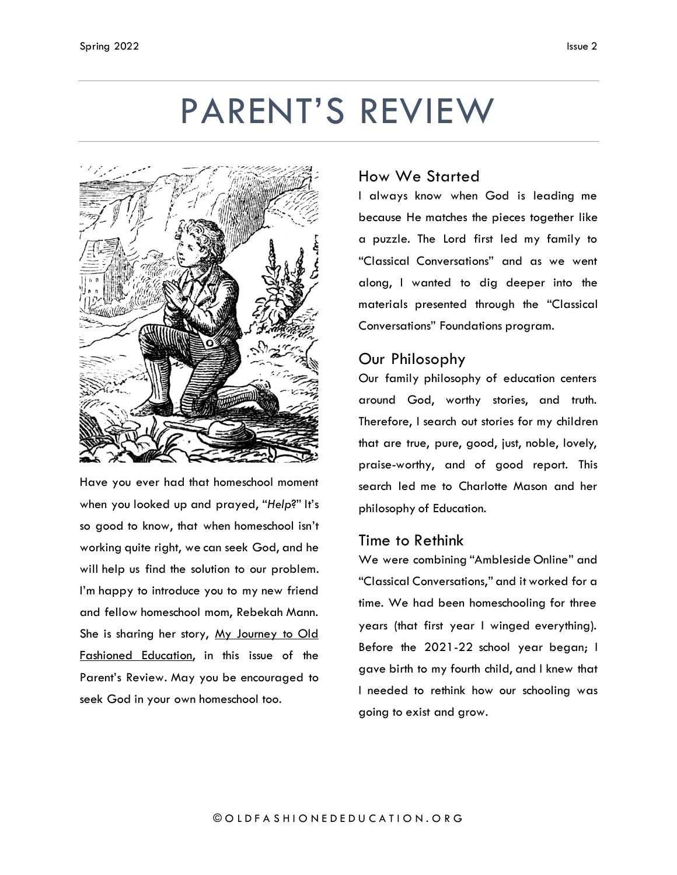# PARENT'S REVIEW



Have you ever had that homeschool moment when you looked up and prayed, "*Help*?" It's so good to know, that when homeschool isn't working quite right, we can seek God, and he will help us find the solution to our problem. I'm happy to introduce you to my new friend and fellow homeschool mom, Rebekah Mann. She is sharing her story, My Journey to Old Fashioned Education, in this issue of the Parent's Review. May you be encouraged to seek God in your own homeschool too.

#### How We Started

I always know when God is leading me because He matches the pieces together like a puzzle. The Lord first led my family to "Classical Conversations" and as we went along, I wanted to dig deeper into the materials presented through the "Classical Conversations" Foundations program.

# Our Philosophy

Our family philosophy of education centers around God, worthy stories, and truth. Therefore, I search out stories for my children that are true, pure, good, just, noble, lovely, praise-worthy, and of good report. This search led me to Charlotte Mason and her philosophy of Education.

## Time to Rethink

We were combining "Ambleside Online" and "Classical Conversations," and it worked for a time. We had been homeschooling for three years (that first year I winged everything). Before the 2021-22 school year began; I gave birth to my fourth child, and I knew that I needed to rethink how our schooling was going to exist and grow.